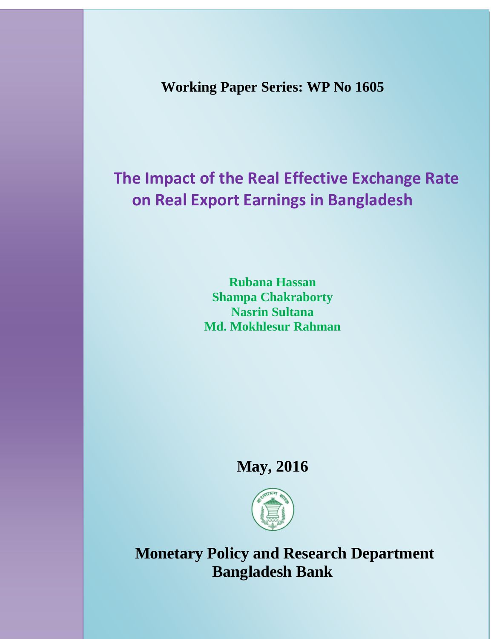**Working Paper Series: WP No 1605**

# **The Impact of the Real Effective Exchange Rate on Real Export Earnings in Bangladesh**

**Rubana Hassan Shampa Chakraborty Nasrin Sultana Md. Mokhlesur Rahman**

## **May, 2016**



 **Monetary Policy and Research Department Bangladesh Bank**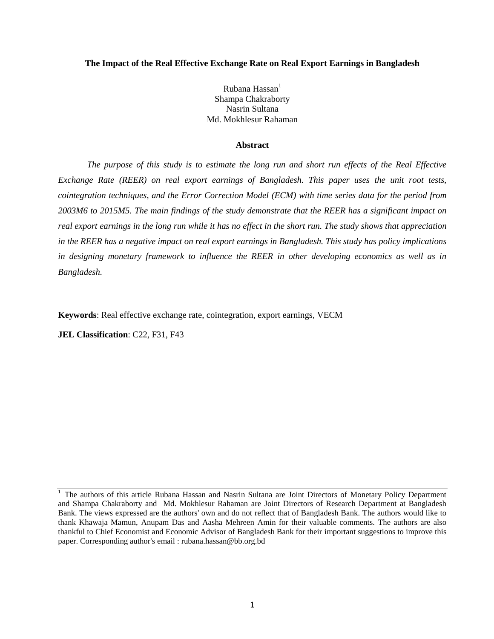#### **The Impact of the Real Effective Exchange Rate on Real Export Earnings in Bangladesh**

Rubana Hassan<sup>1</sup> Shampa Chakraborty Nasrin Sultana Md. Mokhlesur Rahaman

#### **Abstract**

*The purpose of this study is to estimate the long run and short run effects of the Real Effective Exchange Rate (REER) on real export earnings of Bangladesh. This paper uses the unit root tests, cointegration techniques, and the Error Correction Model (ECM) with time series data for the period from 2003M6 to 2015M5. The main findings of the study demonstrate that the REER has a significant impact on real export earnings in the long run while it has no effect in the short run. The study shows that appreciation in the REER has a negative impact on real export earnings in Bangladesh. This study has policy implications in designing monetary framework to influence the REER in other developing economics as well as in Bangladesh.*

**Keywords**: Real effective exchange rate, cointegration, export earnings, VECM

**JEL Classification: C22, F31, F43** 

<sup>&</sup>lt;sup>1</sup> The authors of this article Rubana Hassan and Nasrin Sultana are Joint Directors of Monetary Policy Department and Shampa Chakraborty and Md. Mokhlesur Rahaman are Joint Directors of Research Department at Bangladesh Bank. The views expressed are the authors' own and do not reflect that of Bangladesh Bank. The authors would like to thank Khawaja Mamun, Anupam Das and Aasha Mehreen Amin for their valuable comments. The authors are also thankful to Chief Economist and Economic Advisor of Bangladesh Bank for their important suggestions to improve this paper. Corresponding author's email : rubana.hassan@bb.org.bd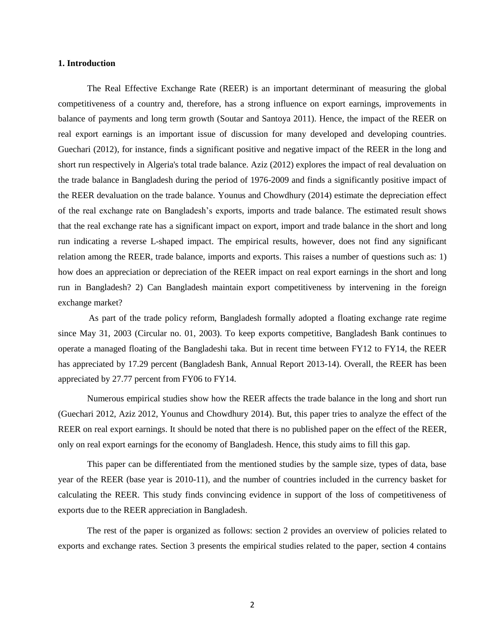#### **1. Introduction**

The Real Effective Exchange Rate (REER) is an important determinant of measuring the global competitiveness of a country and, therefore, has a strong influence on export earnings, improvements in balance of payments and long term growth (Soutar and Santoya 2011). Hence, the impact of the REER on real export earnings is an important issue of discussion for many developed and developing countries. Guechari (2012), for instance, finds a significant positive and negative impact of the REER in the long and short run respectively in Algeria's total trade balance. Aziz (2012) explores the impact of real devaluation on the trade balance in Bangladesh during the period of 1976-2009 and finds a significantly positive impact of the REER devaluation on the trade balance. Younus and Chowdhury (2014) estimate the depreciation effect of the real exchange rate on Bangladesh's exports, imports and trade balance. The estimated result shows that the real exchange rate has a significant impact on export, import and trade balance in the short and long run indicating a reverse L-shaped impact. The empirical results, however, does not find any significant relation among the REER, trade balance, imports and exports. This raises a number of questions such as: 1) how does an appreciation or depreciation of the REER impact on real export earnings in the short and long run in Bangladesh? 2) Can Bangladesh maintain export competitiveness by intervening in the foreign exchange market?

As part of the trade policy reform, Bangladesh formally adopted a floating exchange rate regime since May 31, 2003 (Circular no. 01, 2003). To keep exports competitive, Bangladesh Bank continues to operate a managed floating of the Bangladeshi taka. But in recent time between FY12 to FY14, the REER has appreciated by 17.29 percent (Bangladesh Bank, Annual Report 2013-14). Overall, the REER has been appreciated by 27.77 percent from FY06 to FY14.

Numerous empirical studies show how the REER affects the trade balance in the long and short run (Guechari 2012, Aziz 2012, Younus and Chowdhury 2014). But, this paper tries to analyze the effect of the REER on real export earnings. It should be noted that there is no published paper on the effect of the REER, only on real export earnings for the economy of Bangladesh. Hence, this study aims to fill this gap.

This paper can be differentiated from the mentioned studies by the sample size, types of data, base year of the REER (base year is 2010-11), and the number of countries included in the currency basket for calculating the REER. This study finds convincing evidence in support of the loss of competitiveness of exports due to the REER appreciation in Bangladesh.

The rest of the paper is organized as follows: section 2 provides an overview of policies related to exports and exchange rates. Section 3 presents the empirical studies related to the paper, section 4 contains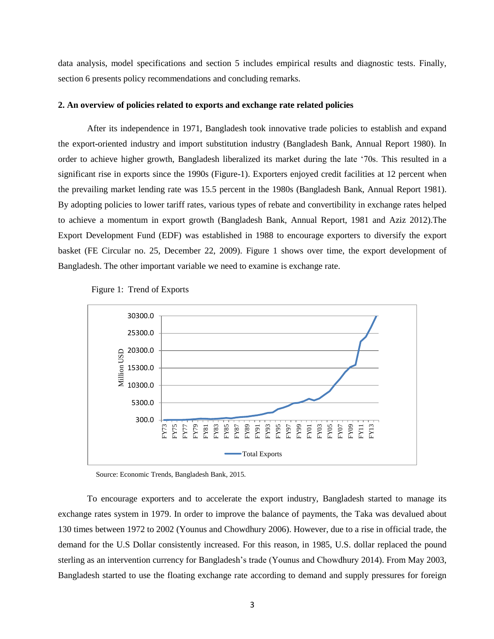data analysis, model specifications and section 5 includes empirical results and diagnostic tests. Finally, section 6 presents policy recommendations and concluding remarks.

#### **2. An overview of policies related to exports and exchange rate related policies**

After its independence in 1971, Bangladesh took innovative trade policies to establish and expand the export-oriented industry and import substitution industry (Bangladesh Bank, Annual Report 1980). In order to achieve higher growth, Bangladesh liberalized its market during the late '70s. This resulted in a significant rise in exports since the 1990s (Figure-1). Exporters enjoyed credit facilities at 12 percent when the prevailing market lending rate was 15.5 percent in the 1980s (Bangladesh Bank, Annual Report 1981). By adopting policies to lower tariff rates, various types of rebate and convertibility in exchange rates helped to achieve a momentum in export growth (Bangladesh Bank, Annual Report, 1981 and Aziz 2012).The Export Development Fund (EDF) was established in 1988 to encourage exporters to diversify the export basket (FE Circular no. 25, December 22, 2009). Figure 1 shows over time, the export development of Bangladesh. The other important variable we need to examine is exchange rate.





Source: Economic Trends, Bangladesh Bank, 2015.

To encourage exporters and to accelerate the export industry, Bangladesh started to manage its exchange rates system in 1979. In order to improve the balance of payments, the Taka was devalued about 130 times between 1972 to 2002 (Younus and Chowdhury 2006). However, due to a rise in official trade, the demand for the U.S Dollar consistently increased. For this reason, in 1985, U.S. dollar replaced the pound sterling as an intervention currency for Bangladesh's trade (Younus and Chowdhury 2014). From May 2003, Bangladesh started to use the floating exchange rate according to demand and supply pressures for foreign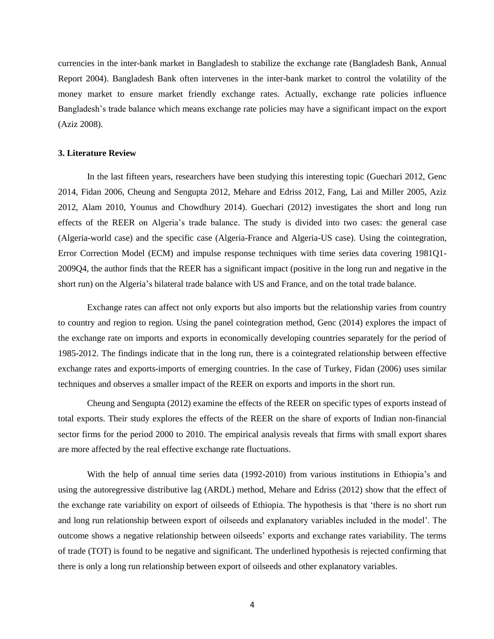currencies in the inter-bank market in Bangladesh to stabilize the exchange rate (Bangladesh Bank, Annual Report 2004). Bangladesh Bank often intervenes in the inter-bank market to control the volatility of the money market to ensure market friendly exchange rates. Actually, exchange rate policies influence Bangladesh's trade balance which means exchange rate policies may have a significant impact on the export (Aziz 2008).

#### **3. Literature Review**

In the last fifteen years, researchers have been studying this interesting topic (Guechari 2012, Genc 2014, Fidan 2006, Cheung and Sengupta 2012, Mehare and Edriss 2012, Fang, Lai and Miller 2005, Aziz 2012, Alam 2010, Younus and Chowdhury 2014). Guechari (2012) investigates the short and long run effects of the REER on Algeria's trade balance. The study is divided into two cases: the general case (Algeria-world case) and the specific case (Algeria-France and Algeria-US case). Using the cointegration, Error Correction Model (ECM) and impulse response techniques with time series data covering 1981Q1- 2009Q4, the author finds that the REER has a significant impact (positive in the long run and negative in the short run) on the Algeria's bilateral trade balance with US and France, and on the total trade balance.

Exchange rates can affect not only exports but also imports but the relationship varies from country to country and region to region. Using the panel cointegration method, Genc (2014) explores the impact of the exchange rate on imports and exports in economically developing countries separately for the period of 1985-2012. The findings indicate that in the long run, there is a cointegrated relationship between effective exchange rates and exports-imports of emerging countries. In the case of Turkey, Fidan (2006) uses similar techniques and observes a smaller impact of the REER on exports and imports in the short run.

Cheung and Sengupta (2012) examine the effects of the REER on specific types of exports instead of total exports. Their study explores the effects of the REER on the share of exports of Indian non-financial sector firms for the period 2000 to 2010. The empirical analysis reveals that firms with small export shares are more affected by the real effective exchange rate fluctuations.

With the help of annual time series data (1992-2010) from various institutions in Ethiopia's and using the autoregressive distributive lag (ARDL) method, Mehare and Edriss (2012) show that the effect of the exchange rate variability on export of oilseeds of Ethiopia. The hypothesis is that 'there is no short run and long run relationship between export of oilseeds and explanatory variables included in the model'. The outcome shows a negative relationship between oilseeds' exports and exchange rates variability. The terms of trade (TOT) is found to be negative and significant. The underlined hypothesis is rejected confirming that there is only a long run relationship between export of oilseeds and other explanatory variables.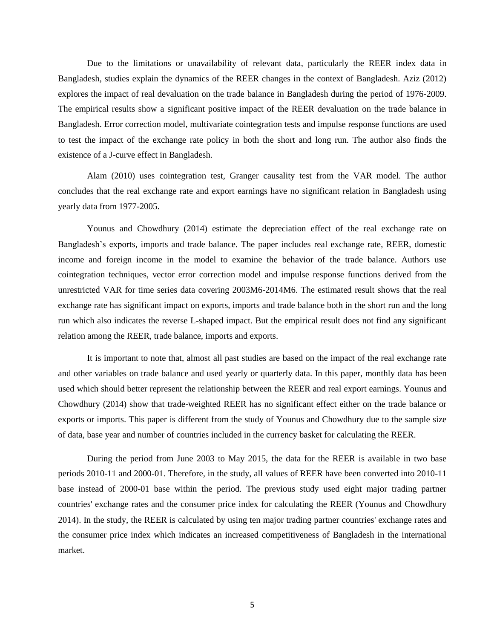Due to the limitations or unavailability of relevant data, particularly the REER index data in Bangladesh, studies explain the dynamics of the REER changes in the context of Bangladesh. Aziz (2012) explores the impact of real devaluation on the trade balance in Bangladesh during the period of 1976-2009. The empirical results show a significant positive impact of the REER devaluation on the trade balance in Bangladesh. Error correction model, multivariate cointegration tests and impulse response functions are used to test the impact of the exchange rate policy in both the short and long run. The author also finds the existence of a J-curve effect in Bangladesh.

Alam (2010) uses cointegration test, Granger causality test from the VAR model. The author concludes that the real exchange rate and export earnings have no significant relation in Bangladesh using yearly data from 1977-2005.

Younus and Chowdhury (2014) estimate the depreciation effect of the real exchange rate on Bangladesh's exports, imports and trade balance. The paper includes real exchange rate, REER, domestic income and foreign income in the model to examine the behavior of the trade balance. Authors use cointegration techniques, vector error correction model and impulse response functions derived from the unrestricted VAR for time series data covering 2003M6-2014M6. The estimated result shows that the real exchange rate has significant impact on exports, imports and trade balance both in the short run and the long run which also indicates the reverse L-shaped impact. But the empirical result does not find any significant relation among the REER, trade balance, imports and exports.

It is important to note that, almost all past studies are based on the impact of the real exchange rate and other variables on trade balance and used yearly or quarterly data. In this paper, monthly data has been used which should better represent the relationship between the REER and real export earnings. Younus and Chowdhury (2014) show that trade-weighted REER has no significant effect either on the trade balance or exports or imports. This paper is different from the study of Younus and Chowdhury due to the sample size of data, base year and number of countries included in the currency basket for calculating the REER.

During the period from June 2003 to May 2015, the data for the REER is available in two base periods 2010-11 and 2000-01. Therefore, in the study, all values of REER have been converted into 2010-11 base instead of 2000-01 base within the period. The previous study used eight major trading partner countries' exchange rates and the consumer price index for calculating the REER (Younus and Chowdhury 2014). In the study, the REER is calculated by using ten major trading partner countries' exchange rates and the consumer price index which indicates an increased competitiveness of Bangladesh in the international market.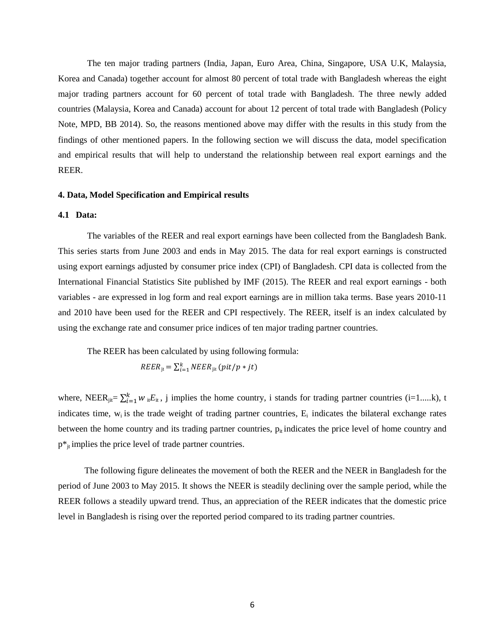The ten major trading partners (India, Japan, Euro Area, China, Singapore, USA U.K, Malaysia, Korea and Canada) together account for almost 80 percent of total trade with Bangladesh whereas the eight major trading partners account for 60 percent of total trade with Bangladesh. The three newly added countries (Malaysia, Korea and Canada) account for about 12 percent of total trade with Bangladesh (Policy Note, MPD, BB 2014). So, the reasons mentioned above may differ with the results in this study from the findings of other mentioned papers. In the following section we will discuss the data, model specification and empirical results that will help to understand the relationship between real export earnings and the REER.

## **4. Data, Model Specification and Empirical results**

#### **4.1 Data:**

The variables of the REER and real export earnings have been collected from the Bangladesh Bank. This series starts from June 2003 and ends in May 2015. The data for real export earnings is constructed using export earnings adjusted by consumer price index (CPI) of Bangladesh. CPI data is collected from the International Financial Statistics Site published by IMF (2015). The REER and real export earnings - both variables - are expressed in log form and real export earnings are in million taka terms. Base years 2010-11 and 2010 have been used for the REER and CPI respectively. The REER, itself is an index calculated by using the exchange rate and consumer price indices of ten major trading partner countries.

The REER has been calculated by using following formula:

$$
REER_{jt} = \sum_{i=1}^{k} NEER_{jit} (pit/p * jt)
$$

where, NEER<sub>jit</sub>=  $\sum_{i=1}^{k} w_{it} E_{it}$ , j implies the home country, i stands for trading partner countries (i=1.....k), t indicates time,  $w_i$  is the trade weight of trading partner countries,  $E_i$  indicates the bilateral exchange rates between the home country and its trading partner countries,  $p_{it}$  indicates the price level of home country and  $p^*$ <sub>it</sub> implies the price level of trade partner countries.

 The following figure delineates the movement of both the REER and the NEER in Bangladesh for the period of June 2003 to May 2015. It shows the NEER is steadily declining over the sample period, while the REER follows a steadily upward trend. Thus, an appreciation of the REER indicates that the domestic price level in Bangladesh is rising over the reported period compared to its trading partner countries.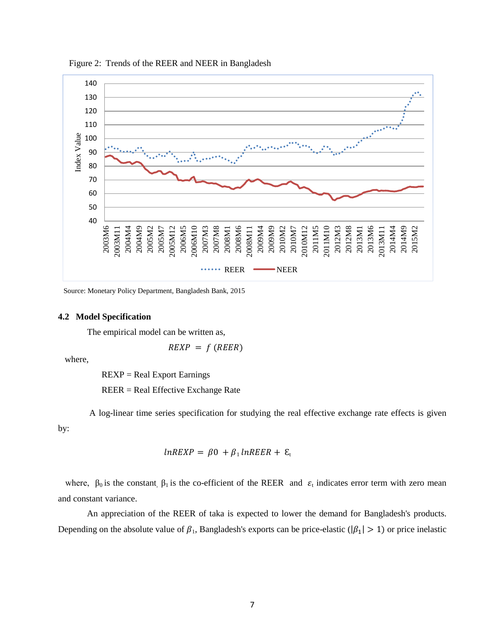

Figure 2: Trends of the REER and NEER in Bangladesh

Source: Monetary Policy Department, Bangladesh Bank, 2015

#### **4.2 Model Specification**

The empirical model can be written as,

 $REXP = f (REER)$ 

where,

REXP = Real Export Earnings

REER = Real Effective Exchange Rate

A log-linear time series specification for studying the real effective exchange rate effects is given by:

$$
lnREXP = \beta 0 + \beta_1 lnREER + \varepsilon_t
$$

where,  $\beta_0$  is the constant,  $\beta_1$  is the co-efficient of the REER and  $\varepsilon_t$  indicates error term with zero mean and constant variance.

 An appreciation of the REER of taka is expected to lower the demand for Bangladesh's products. Depending on the absolute value of  $\beta_1$ , Bangladesh's exports can be price-elastic ( $|\beta_1| > 1$ ) or price inelastic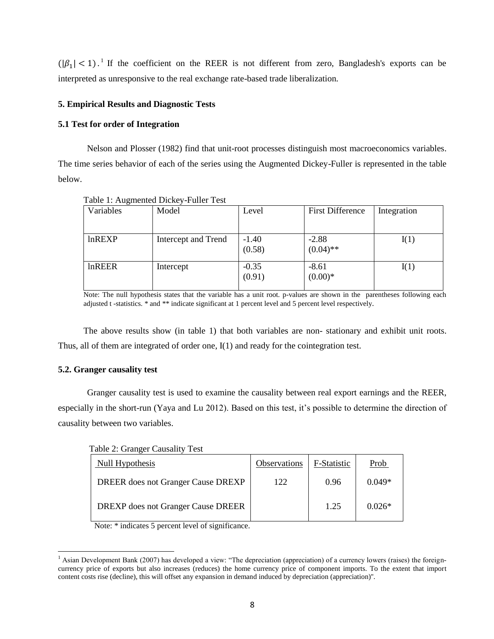$(|\beta_1| < 1)$ . If the coefficient on the REER is not different from zero, Bangladesh's exports can be interpreted as unresponsive to the real exchange rate-based trade liberalization.

## **5. Empirical Results and Diagnostic Tests**

## **5.1 Test for order of Integration**

 Nelson and Plosser (1982) find that unit-root processes distinguish most macroeconomics variables. The time series behavior of each of the series using the Augmented Dickey-Fuller is represented in the table below.

| --- 0-        |                     |                   |                         |             |
|---------------|---------------------|-------------------|-------------------------|-------------|
| Variables     | Model               | Level             | <b>First Difference</b> | Integration |
| InREXP        | Intercept and Trend | $-1.40$<br>(0.58) | $-2.88$<br>$(0.04)$ **  | I(1)        |
| <b>lnREER</b> | Intercept           | $-0.35$<br>(0.91) | $-8.61$<br>$(0.00)*$    | I(1)        |

Table 1: Augmented Dickey-Fuller Test

Note: The null hypothesis states that the variable has a unit root. p-values are shown in the parentheses following each adjusted t -statistics. \* and \*\* indicate significant at 1 percent level and 5 percent level respectively.

The above results show (in table 1) that both variables are non- stationary and exhibit unit roots. Thus, all of them are integrated of order one, I(1) and ready for the cointegration test.

### **5.2. Granger causality test**

l

Granger causality test is used to examine the causality between real export earnings and the REER, especially in the short-run (Yaya and Lu 2012). Based on this test, it's possible to determine the direction of causality between two variables.

| Table 2: Granger Causality Test           |              |             |          |
|-------------------------------------------|--------------|-------------|----------|
| Null Hypothesis                           | Observations | F-Statistic | Prob     |
| <b>DREER</b> does not Granger Cause DREXP | 122          | 0.96        | $0.049*$ |
| <b>DREXP</b> does not Granger Cause DREER |              | 1.25        | $0.026*$ |

Note: \* indicates 5 percent level of significance.

<sup>&</sup>lt;sup>1</sup> Asian Development Bank (2007) has developed a view: "The depreciation (appreciation) of a currency lowers (raises) the foreigncurrency price of exports but also increases (reduces) the home currency price of component imports. To the extent that import content costs rise (decline), this will offset any expansion in demand induced by depreciation (appreciation)''.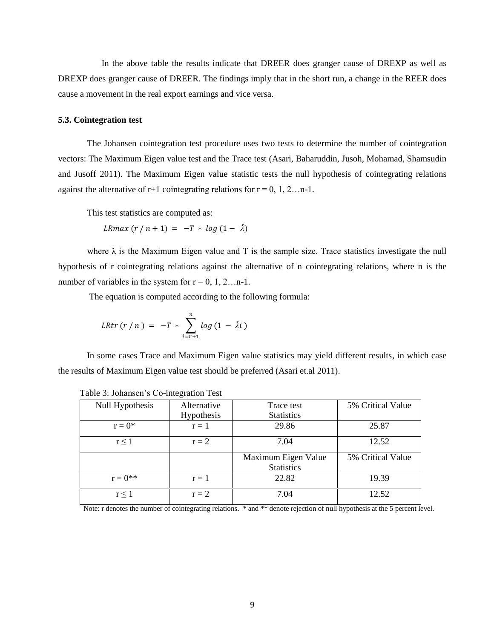In the above table the results indicate that DREER does granger cause of DREXP as well as DREXP does granger cause of DREER. The findings imply that in the short run, a change in the REER does cause a movement in the real export earnings and vice versa.

## **5.3. Cointegration test**

The Johansen cointegration test procedure uses two tests to determine the number of cointegration vectors: The Maximum Eigen value test and the Trace test (Asari, Baharuddin, Jusoh, Mohamad, Shamsudin and Jusoff 2011). The Maximum Eigen value statistic tests the null hypothesis of cointegrating relations against the alternative of r+1 cointegrating relations for  $r = 0, 1, 2...$ n-1.

This test statistics are computed as:

LRmax  $(r / n + 1) = -T * log (1 - \lambda)$ 

where  $\lambda$  is the Maximum Eigen value and T is the sample size. Trace statistics investigate the null hypothesis of r cointegrating relations against the alternative of n cointegrating relations, where n is the number of variables in the system for  $r = 0, 1, 2...$ n-1.

The equation is computed according to the following formula:

*LRtr* 
$$
(r/n) = -T * \sum_{i=r+1}^{n} log (1 - \hat{\lambda}i)
$$

 In some cases Trace and Maximum Eigen value statistics may yield different results, in which case the results of Maximum Eigen value test should be preferred (Asari et.al 2011).

| Null Hypothesis | Alternative | Trace test          | 5% Critical Value |
|-----------------|-------------|---------------------|-------------------|
|                 | Hypothesis  | <b>Statistics</b>   |                   |
| $r = 0^*$       | $r = 1$     | 29.86               | 25.87             |
| r < 1           | $r = 2$     | 7.04                | 12.52             |
|                 |             | Maximum Eigen Value | 5% Critical Value |
|                 |             | <b>Statistics</b>   |                   |
| $r = 0^{**}$    | $r = 1$     | 22.82               | 19.39             |
| r < 1           | $r = 2$     | 7.04                | 12.52             |

|  |  | Table 3: Johansen's Co-integration Test |  |  |  |  |
|--|--|-----------------------------------------|--|--|--|--|
|--|--|-----------------------------------------|--|--|--|--|

Note: r denotes the number of cointegrating relations. \* and \*\* denote rejection of null hypothesis at the 5 percent level.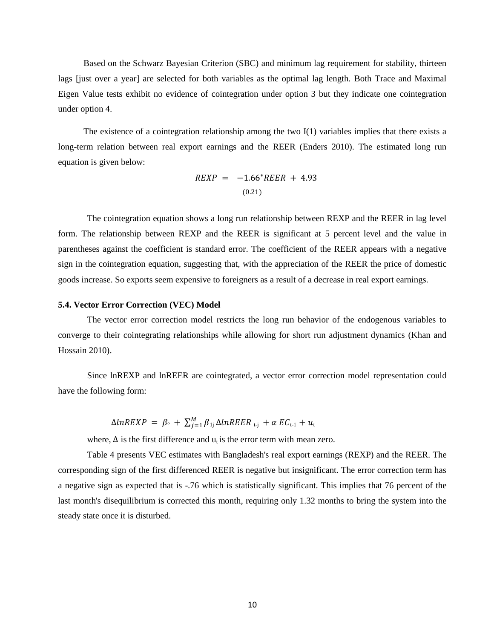Based on the Schwarz Bayesian Criterion (SBC) and minimum lag requirement for stability, thirteen lags [just over a year] are selected for both variables as the optimal lag length. Both Trace and Maximal Eigen Value tests exhibit no evidence of cointegration under option 3 but they indicate one cointegration under option 4.

The existence of a cointegration relationship among the two I(1) variables implies that there exists a long-term relation between real export earnings and the REER (Enders 2010). The estimated long run equation is given below:

$$
REXP = -1.66*REER + 4.93
$$
  
(0.21)

The cointegration equation shows a long run relationship between REXP and the REER in lag level form. The relationship between REXP and the REER is significant at 5 percent level and the value in parentheses against the coefficient is standard error. The coefficient of the REER appears with a negative sign in the cointegration equation, suggesting that, with the appreciation of the REER the price of domestic goods increase. So exports seem expensive to foreigners as a result of a decrease in real export earnings.

#### **5.4. Vector Error Correction (VEC) Model**

The vector error correction model restricts the long run behavior of the endogenous variables to converge to their cointegrating relationships while allowing for short run adjustment dynamics (Khan and Hossain 2010).

Since lnREXP and lnREER are cointegrated, a vector error correction model representation could have the following form:

$$
\Delta lnREXP = \beta_{\circ} + \sum_{j=1}^{M} \beta_{1j} \Delta lnREER_{t-j} + \alpha EC_{t-1} + u_t
$$

where,  $\Delta$  is the first difference and  $u_t$  is the error term with mean zero.

Table 4 presents VEC estimates with Bangladesh's real export earnings (REXP) and the REER. The corresponding sign of the first differenced REER is negative but insignificant. The error correction term has a negative sign as expected that is -.76 which is statistically significant. This implies that 76 percent of the last month's disequilibrium is corrected this month, requiring only 1.32 months to bring the system into the steady state once it is disturbed.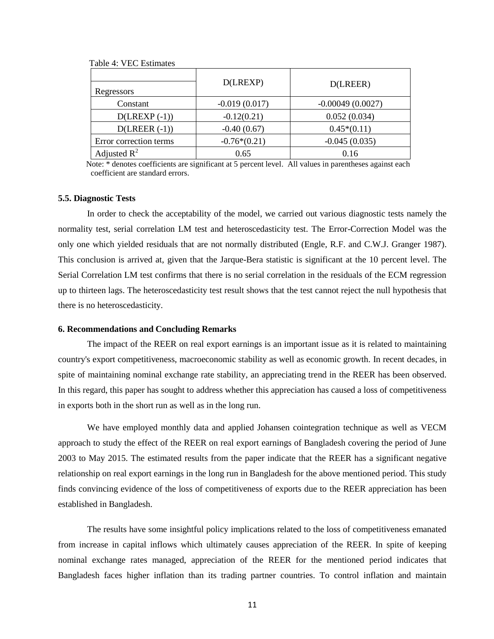| Regressors             | D(LREXP)        | D(LREER)           |
|------------------------|-----------------|--------------------|
| Constant               | $-0.019(0.017)$ | $-0.00049(0.0027)$ |
| $D( LREXP (-1))$       | $-0.12(0.21)$   | 0.052(0.034)       |
| $D(LREER (-1))$        | $-0.40(0.67)$   | $0.45*(0.11)$      |
| Error correction terms | $-0.76*(0.21)$  | $-0.045(0.035)$    |
| Adjusted $R^2$         | 0.65            | 0.16               |

Table 4: VEC Estimates

 Note: \* denotes coefficients are significant at 5 percent level. All values in parentheses against each coefficient are standard errors.

#### **5.5. Diagnostic Tests**

In order to check the acceptability of the model, we carried out various diagnostic tests namely the normality test, serial correlation LM test and heteroscedasticity test. The Error-Correction Model was the only one which yielded residuals that are not normally distributed (Engle, R.F. and C.W.J. Granger 1987). This conclusion is arrived at, given that the Jarque-Bera statistic is significant at the 10 percent level. The Serial Correlation LM test confirms that there is no serial correlation in the residuals of the ECM regression up to thirteen lags. The heteroscedasticity test result shows that the test cannot reject the null hypothesis that there is no heteroscedasticity.

#### **6. Recommendations and Concluding Remarks**

The impact of the REER on real export earnings is an important issue as it is related to maintaining country's export competitiveness, macroeconomic stability as well as economic growth. In recent decades, in spite of maintaining nominal exchange rate stability, an appreciating trend in the REER has been observed. In this regard, this paper has sought to address whether this appreciation has caused a loss of competitiveness in exports both in the short run as well as in the long run.

We have employed monthly data and applied Johansen cointegration technique as well as VECM approach to study the effect of the REER on real export earnings of Bangladesh covering the period of June 2003 to May 2015. The estimated results from the paper indicate that the REER has a significant negative relationship on real export earnings in the long run in Bangladesh for the above mentioned period. This study finds convincing evidence of the loss of competitiveness of exports due to the REER appreciation has been established in Bangladesh.

The results have some insightful policy implications related to the loss of competitiveness emanated from increase in capital inflows which ultimately causes appreciation of the REER. In spite of keeping nominal exchange rates managed, appreciation of the REER for the mentioned period indicates that Bangladesh faces higher inflation than its trading partner countries. To control inflation and maintain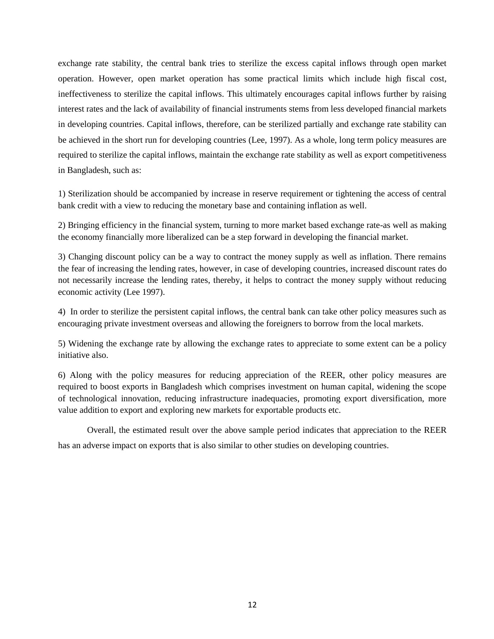exchange rate stability, the central bank tries to sterilize the excess capital inflows through open market operation. However, open market operation has some practical limits which include high fiscal cost, ineffectiveness to sterilize the capital inflows. This ultimately encourages capital inflows further by raising interest rates and the lack of availability of financial instruments stems from less developed financial markets in developing countries. Capital inflows, therefore, can be sterilized partially and exchange rate stability can be achieved in the short run for developing countries (Lee, 1997). As a whole, long term policy measures are required to sterilize the capital inflows, maintain the exchange rate stability as well as export competitiveness in Bangladesh, such as:

1) Sterilization should be accompanied by increase in reserve requirement or tightening the access of central bank credit with a view to reducing the monetary base and containing inflation as well.

2) Bringing efficiency in the financial system, turning to more market based exchange rate-as well as making the economy financially more liberalized can be a step forward in developing the financial market.

3) Changing discount policy can be a way to contract the money supply as well as inflation. There remains the fear of increasing the lending rates, however, in case of developing countries, increased discount rates do not necessarily increase the lending rates, thereby, it helps to contract the money supply without reducing economic activity (Lee 1997).

4) In order to sterilize the persistent capital inflows, the central bank can take other policy measures such as encouraging private investment overseas and allowing the foreigners to borrow from the local markets.

5) Widening the exchange rate by allowing the exchange rates to appreciate to some extent can be a policy initiative also.

6) Along with the policy measures for reducing appreciation of the REER, other policy measures are required to boost exports in Bangladesh which comprises investment on human capital, widening the scope of technological innovation, reducing infrastructure inadequacies, promoting export diversification, more value addition to export and exploring new markets for exportable products etc.

Overall, the estimated result over the above sample period indicates that appreciation to the REER has an adverse impact on exports that is also similar to other studies on developing countries.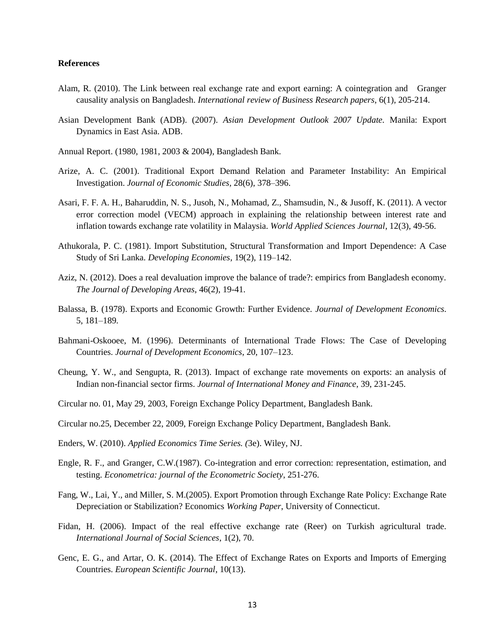#### **References**

- Alam, R. (2010). The Link between real exchange rate and export earning: A cointegration and Granger causality analysis on Bangladesh. *International review of Business Research papers*, 6(1), 205-214.
- Asian Development Bank (ADB). (2007). *Asian Development Outlook 2007 Update.* Manila: Export Dynamics in East Asia. ADB.
- Annual Report. (1980, 1981, 2003 & 2004), Bangladesh Bank.
- Arize, A. C. (2001). Traditional Export Demand Relation and Parameter Instability: An Empirical Investigation. *Journal of Economic Studies,* 28(6), 378–396.
- Asari, F. F. A. H., Baharuddin, N. S., Jusoh, N., Mohamad, Z., Shamsudin, N., & Jusoff, K. (2011). A vector error correction model (VECM) approach in explaining the relationship between interest rate and inflation towards exchange rate volatility in Malaysia. *World Applied Sciences Journal*, 12(3), 49-56.
- Athukorala, P. C. (1981). Import Substitution, Structural Transformation and Import Dependence: A Case Study of Sri Lanka. *Developing Economies*, 19(2), 119–142.
- Aziz, N. (2012). Does a real devaluation improve the balance of trade?: empirics from Bangladesh economy. *The Journal of Developing Areas*, 46(2), 19-41.
- Balassa, B. (1978). Exports and Economic Growth: Further Evidence. *Journal of Development Economics.* 5, 181–189.
- Bahmani-Oskooee, M. (1996). Determinants of International Trade Flows: The Case of Developing Countries. *Journal of Development Economics*, 20, 107–123.
- Cheung, Y. W., and Sengupta, R. (2013). Impact of exchange rate movements on exports: an analysis of Indian non-financial sector firms. *Journal of International Money and Finance*, 39, 231-245.
- Circular no. 01, May 29, 2003, Foreign Exchange Policy Department, Bangladesh Bank.
- Circular no.25, December 22, 2009, Foreign Exchange Policy Department, Bangladesh Bank.
- Enders, W. (2010). *Applied Economics Time Series. (*3e). Wiley, NJ.
- Engle, R. F., and Granger, C.W.(1987). Co-integration and error correction: representation, estimation, and testing. *Econometrica: journal of the Econometric Society*, 251-276.
- Fang, W., Lai, Y., and Miller, S. M.(2005). Export Promotion through Exchange Rate Policy: Exchange Rate Depreciation or Stabilization? Economics *Working Paper*, University of Connecticut.
- Fidan, H. (2006). Impact of the real effective exchange rate (Reer) on Turkish agricultural trade. *International Journal of Social Sciences*, 1(2), 70.
- Genc, E. G., and Artar, O. K. (2014). The Effect of Exchange Rates on Exports and Imports of Emerging Countries. *European Scientific Journal*, 10(13).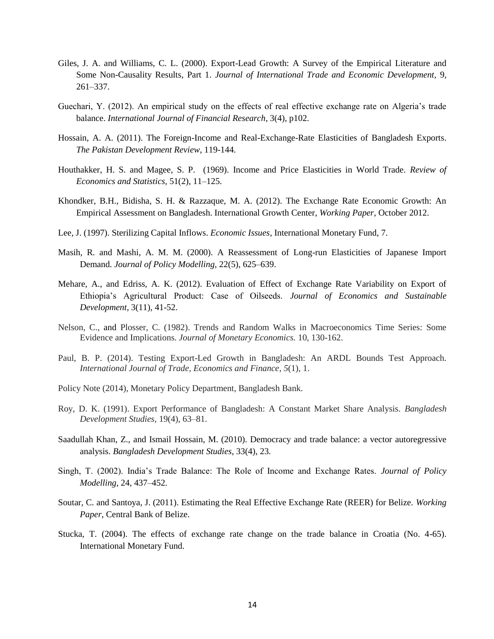- Giles, J. A. and Williams, C. L. (2000). Export-Lead Growth: A Survey of the Empirical Literature and Some Non-Causality Results, Part 1. *Journal of International Trade and Economic Development,* 9, 261–337.
- Guechari, Y. (2012). An empirical study on the effects of real effective exchange rate on Algeria's trade balance. *International Journal of Financial Research*, 3(4), p102.
- Hossain, A. A. (2011). The Foreign-Income and Real-Exchange-Rate Elasticities of Bangladesh Exports. *The Pakistan Development Review*, 119-144.
- Houthakker, H. S. and Magee, S. P. (1969). Income and Price Elasticities in World Trade. *Review of Economics and Statistics,* 51(2), 11–125.
- Khondker, B.H., Bidisha, S. H. & Razzaque, M. A. (2012). The Exchange Rate Economic Growth: An Empirical Assessment on Bangladesh. International Growth Center, *Working Paper*, October 2012.
- Lee, J. (1997). Sterilizing Capital Inflows. *Economic Issues*, International Monetary Fund, 7.
- Masih, R. and Mashi, A. M. M. (2000). A Reassessment of Long-run Elasticities of Japanese Import Demand. *Journal of Policy Modelling,* 22(5), 625–639.
- Mehare, A., and Edriss, A. K. (2012). Evaluation of Effect of Exchange Rate Variability on Export of Ethiopia's Agricultural Product: Case of Oilseeds. *Journal of Economics and Sustainable Development*, 3(11), 41-52.
- Nelson, C., and Plosser, C. (1982). Trends and Random Walks in Macroeconomics Time Series: Some Evidence and Implications. *Journal of Monetary Economics.* 10, 130-162.
- Paul, B. P. (2014). Testing Export-Led Growth in Bangladesh: An ARDL Bounds Test Approach. *International Journal of Trade, Economics and Finance*, *5*(1), 1.
- Policy Note (2014), Monetary Policy Department, Bangladesh Bank.
- Roy, D. K. (1991). Export Performance of Bangladesh: A Constant Market Share Analysis. *Bangladesh Development Studies,* 19(4), 63–81.
- Saadullah Khan, Z., and Ismail Hossain, M. (2010). Democracy and trade balance: a vector autoregressive analysis. *Bangladesh Development Studies*, 33(4), 23.
- Singh, T. (2002). India's Trade Balance: The Role of Income and Exchange Rates. *Journal of Policy Modelling*, 24, 437–452.
- Soutar, C. and Santoya, J. (2011). Estimating the Real Effective Exchange Rate (REER) for Belize. *Working Paper*, Central Bank of Belize.
- Stucka, T. (2004). The effects of exchange rate change on the trade balance in Croatia (No. 4-65). International Monetary Fund.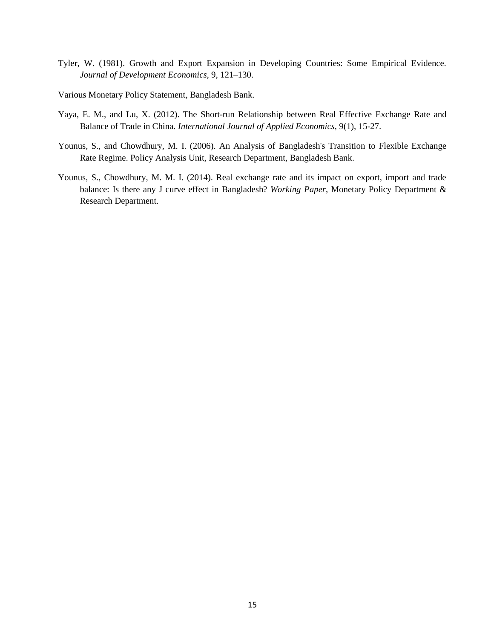- Tyler, W. (1981). Growth and Export Expansion in Developing Countries: Some Empirical Evidence. *Journal of Development Economics,* 9, 121–130.
- Various Monetary Policy Statement, Bangladesh Bank.
- Yaya, E. M., and Lu, X. (2012). The Short-run Relationship between Real Effective Exchange Rate and Balance of Trade in China. *International Journal of Applied Economics,* 9(1), 15-27.
- Younus, S., and Chowdhury, M. I. (2006). An Analysis of Bangladesh's Transition to Flexible Exchange Rate Regime. Policy Analysis Unit, Research Department, Bangladesh Bank.
- Younus, S., Chowdhury, M. M. I. (2014). Real exchange rate and its impact on export, import and trade balance: Is there any J curve effect in Bangladesh? *Working Paper*, Monetary Policy Department & Research Department.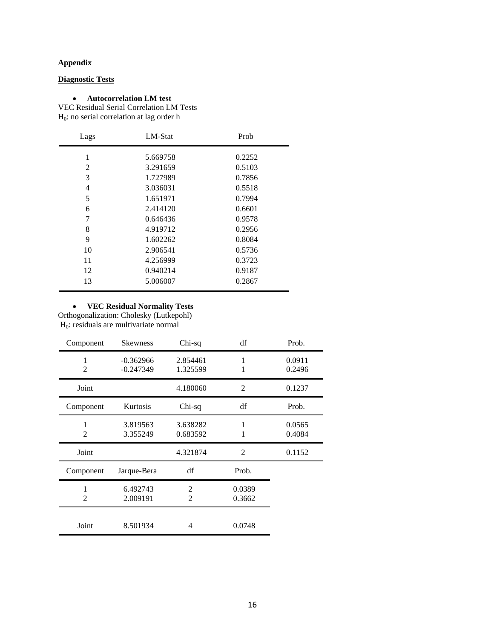## **Appendix**

**Diagnostic Tests**

## **Autocorrelation LM test**

VEC Residual Serial Correlation LM Tests H0: no serial correlation at lag order h

| Lags | LM-Stat  | Prob   |
|------|----------|--------|
| 1    | 5.669758 | 0.2252 |
| 2    | 3.291659 | 0.5103 |
| 3    | 1.727989 | 0.7856 |
| 4    | 3.036031 | 0.5518 |
| 5    | 1.651971 | 0.7994 |
| 6    | 2.414120 | 0.6601 |
| 7    | 0.646436 | 0.9578 |
| 8    | 4.919712 | 0.2956 |
| 9    | 1.602262 | 0.8084 |
| 10   | 2.906541 | 0.5736 |
| 11   | 4.256999 | 0.3723 |
| 12   | 0.940214 | 0.9187 |
| 13   | 5.006007 | 0.2867 |

#### **VEC Residual Normality Tests**

Orthogonalization: Cholesky (Lutkepohl) H0: residuals are multivariate normal

| Component      | <b>Skewness</b>            | Chi-sq               | df               | Prob.            |
|----------------|----------------------------|----------------------|------------------|------------------|
| $\overline{2}$ | $-0.362966$<br>$-0.247349$ | 2.854461<br>1.325599 | 1<br>1           | 0.0911<br>0.2496 |
| Joint          |                            | 4.180060             | $\overline{2}$   | 0.1237           |
| Component      | Kurtosis                   | Chi-sq               | df               | Prob.            |
| $\mathfrak{D}$ | 3.819563<br>3.355249       | 3.638282<br>0.683592 | 1<br>1           | 0.0565<br>0.4084 |
| Joint          |                            | 4.321874             | $\overline{2}$   | 0.1152           |
| Component      | Jarque-Bera                | df                   | Prob.            |                  |
| $\mathfrak{D}$ | 6.492743<br>2.009191       | 2<br>2               | 0.0389<br>0.3662 |                  |
| Joint          | 8.501934                   | 4                    | 0.0748           |                  |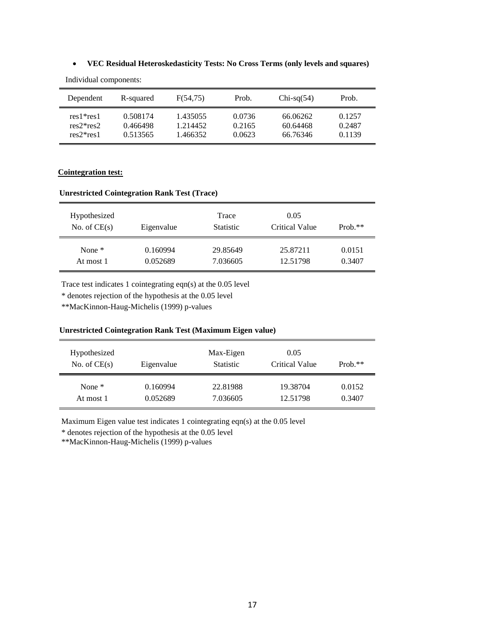## **VEC Residual Heteroskedasticity Tests: No Cross Terms (only levels and squares)**

| Dependent   | R-squared | F(54.75) | Prob.  | $Chi-sq(54)$ | Prob.  |
|-------------|-----------|----------|--------|--------------|--------|
| $res1*res1$ | 0.508174  | 1.435055 | 0.0736 | 66.06262     | 0.1257 |
| $res2*res2$ | 0.466498  | 1.214452 | 0.2165 | 60.64468     | 0.2487 |
| $res2*res1$ | 0.513565  | 1.466352 | 0.0623 | 66.76346     | 0.1139 |

Individual components:

## **Cointegration test:**

## **Unrestricted Cointegration Rank Test (Trace)**

| Hypothesized<br>No. of $CE(s)$ | Eigenvalue | Trace<br><b>Statistic</b> | 0.05<br>Critical Value | Prob. $**$ |
|--------------------------------|------------|---------------------------|------------------------|------------|
| None $*$                       | 0.160994   | 29.85649                  | 25.87211               | 0.0151     |
| At most 1                      | 0.052689   | 7.036605                  | 12.51798               | 0.3407     |

Trace test indicates 1 cointegrating eqn(s) at the 0.05 level

\* denotes rejection of the hypothesis at the 0.05 level

\*\*MacKinnon-Haug-Michelis (1999) p-values

#### **Unrestricted Cointegration Rank Test (Maximum Eigen value)**

| Hypothesized<br>No. of $CE(s)$ | Eigenvalue | Max-Eigen<br><b>Statistic</b> | 0.05<br>Critical Value | $Prob.**$ |
|--------------------------------|------------|-------------------------------|------------------------|-----------|
| None $*$                       | 0.160994   | 22.81988                      | 19.38704               | 0.0152    |
| At most 1                      | 0.052689   | 7.036605                      | 12.51798               | 0.3407    |

Maximum Eigen value test indicates 1 cointegrating eqn(s) at the 0.05 level

\* denotes rejection of the hypothesis at the 0.05 level

\*\*MacKinnon-Haug-Michelis (1999) p-values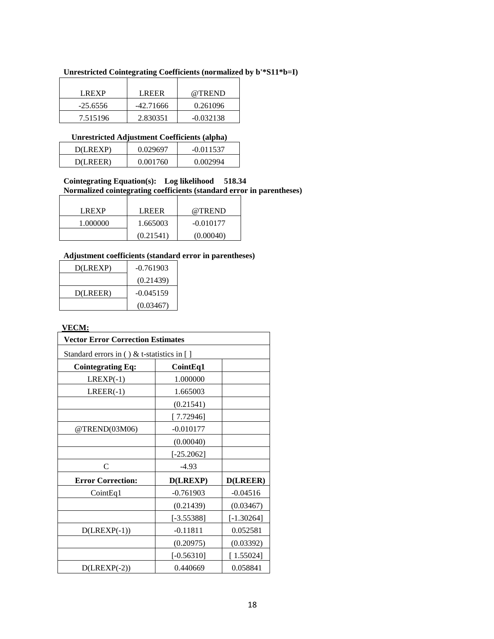| Unrestricted Cointegrating Coefficients (normalized by b'*S11*b=I) |  |  |
|--------------------------------------------------------------------|--|--|
|                                                                    |  |  |

| LREXP      | <b>LREER</b> | @TREND      |
|------------|--------------|-------------|
| $-25.6556$ | $-42.71666$  | 0.261096    |
| 7.515196   | 2.830351     | $-0.032138$ |

## **Unrestricted Adjustment Coefficients (alpha)**

|          | . .      |             |
|----------|----------|-------------|
| D(LREXP) | 0.029697 | $-0.011537$ |
| D(LREER) | 0.001760 | 0.002994    |
|          |          |             |

## **Cointegrating Equation(s): Log likelihood 518.34 Normalized cointegrating coefficients (standard error in parentheses)**

| <b>LREXP</b> | <b>LREER</b> | @TREND      |
|--------------|--------------|-------------|
| 1.000000     | 1.665003     | $-0.010177$ |
|              | (0.21541)    | (0.00040)   |

## **Adjustment coefficients (standard error in parentheses)**

| D(LREXP) | $-0.761903$ |
|----------|-------------|
|          | (0.21439)   |
| D(LREER) | $-0.045159$ |
|          | (0.03467)   |

## **VECM:**

| <b>Vector Error Correction Estimates</b>   |                 |              |
|--------------------------------------------|-----------------|--------------|
| Standard errors in () & t-statistics in [] |                 |              |
| <b>Cointegrating Eq:</b>                   | CointEq1        |              |
| $LREXP(-1)$                                | 1.000000        |              |
| $LREER(-1)$                                | 1.665003        |              |
|                                            | (0.21541)       |              |
|                                            | [7.72946]       |              |
| @TREND(03M06)                              | $-0.010177$     |              |
|                                            | (0.00040)       |              |
|                                            | $[-25.2062]$    |              |
| $\mathcal{C}$                              | $-4.93$         |              |
| <b>Error Correction:</b>                   | <b>D(LREXP)</b> | D(LREER)     |
| CointEq1                                   | $-0.761903$     | $-0.04516$   |
|                                            | (0.21439)       | (0.03467)    |
|                                            | $[-3.55388]$    | $[-1.30264]$ |
| $D( LREXP(-1))$                            | $-0.11811$      | 0.052581     |
|                                            | (0.20975)       | (0.03392)    |
|                                            | $[-0.56310]$    | [1.55024]    |
| $D(LREXP(-2))$                             | 0.440669        | 0.058841     |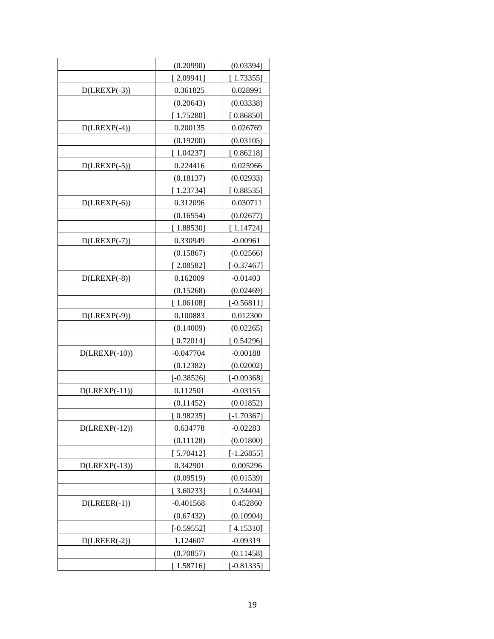|                  | (0.20990)    | (0.03394)    |
|------------------|--------------|--------------|
|                  | 2.09941      | [1.73355]    |
| $D( LREXP(-3))$  | 0.361825     | 0.028991     |
|                  | (0.20643)    | (0.03338)    |
|                  | [1.75280]    | [0.86850]    |
| $D(LREXP(-4))$   | 0.200135     | 0.026769     |
|                  | (0.19200)    | (0.03105)    |
|                  | [1.04237]    | [0.86218]    |
| $D( LREXP(-5))$  | 0.224416     | 0.025966     |
|                  | (0.18137)    | (0.02933)    |
|                  | [1.23734]    | [0.88535]    |
| $D( LREXP(-6))$  | 0.312096     | 0.030711     |
|                  | (0.16554)    | (0.02677)    |
|                  | [1.88530]    | [1.14724]    |
| $D( LREXP(-7))$  | 0.330949     | $-0.00961$   |
|                  | (0.15867)    | (0.02566)    |
|                  | [2.08582]    | $[-0.37467]$ |
| $D( LREXP(-8))$  | 0.162009     | $-0.01403$   |
|                  | (0.15268)    | (0.02469)    |
|                  | [1.06108]    | $[-0.56811]$ |
| $D( LREXP(-9))$  | 0.100883     | 0.012300     |
|                  | (0.14009)    | (0.02265)    |
|                  | [0.72014]    | [ 0.54296]   |
| $D(LREXP(-10))$  | -0.047704    | $-0.00188$   |
|                  | (0.12382)    | (0.02002)    |
|                  | $[-0.38526]$ | $[-0.09368]$ |
| $D( LREXP(-11))$ | 0.112501     | $-0.03155$   |
|                  | (0.11452)    | (0.01852)    |
|                  | [0.98235]    | $[-1.70367]$ |
| $D(LREXP(-12))$  | 0.634778     | $-0.02283$   |
|                  | (0.11128)    | (0.01800)    |
|                  | [5.70412]    | $[-1.26855]$ |
| $D( LREXP(-13))$ | 0.342901     | 0.005296     |
|                  | (0.09519)    | (0.01539)    |
|                  | [3.60233]    | [0.34404]    |
| $D(LREER(-1))$   | $-0.401568$  | 0.452860     |
|                  | (0.67432)    | (0.10904)    |
|                  | $[-0.59552]$ | [4.15310]    |
| $D(LREER(-2))$   | 1.124607     | $-0.09319$   |
|                  | (0.70857)    | (0.11458)    |
|                  | [1.58716]    | $[-0.81335]$ |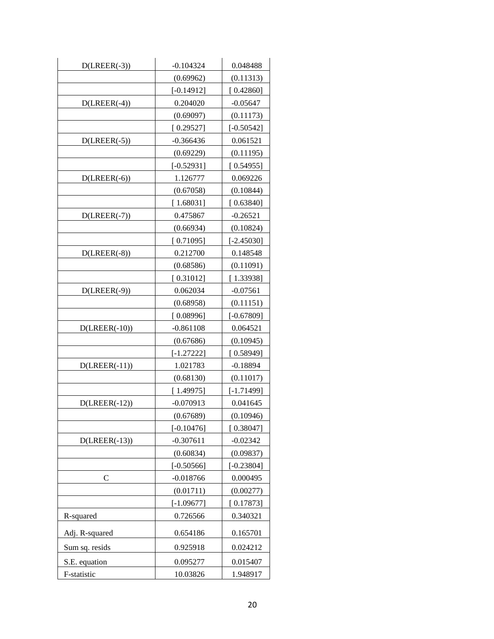| $D(LREER(-3))$  | $-0.104324$  | 0.048488     |
|-----------------|--------------|--------------|
|                 | (0.69962)    | (0.11313)    |
|                 | $[-0.14912]$ | [0.42860]    |
| $D(LREER(-4))$  | 0.204020     | $-0.05647$   |
|                 | (0.69097)    | (0.11173)    |
|                 | [0.29527]    | $[-0.50542]$ |
| $D(LREER(-5))$  | $-0.366436$  | 0.061521     |
|                 | (0.69229)    | (0.11195)    |
|                 | $[-0.52931]$ | [0.54955]    |
| $D(LREER(-6))$  | 1.126777     | 0.069226     |
|                 | (0.67058)    | (0.10844)    |
|                 | [1.68031]    | [0.63840]    |
| $D(LREER(-7))$  | 0.475867     | $-0.26521$   |
|                 | (0.66934)    | (0.10824)    |
|                 | [0.71095]    | $[-2.45030]$ |
| $D(LREER(-8))$  | 0.212700     | 0.148548     |
|                 | (0.68586)    | (0.11091)    |
|                 | [0.31012]    | [1.33938]    |
| $D(LREER(-9))$  | 0.062034     | $-0.07561$   |
|                 | (0.68958)    | (0.11151)    |
|                 | [0.08996]    | $[-0.67809]$ |
| $D(LREER(-10))$ | $-0.861108$  | 0.064521     |
|                 | (0.67686)    | (0.10945)    |
|                 | $[-1.27222]$ | [0.58949]    |
| $D(LREER(-11))$ | 1.021783     | $-0.18894$   |
|                 | (0.68130)    | (0.11017)    |
|                 | [1.49975]    | $[-1.71499]$ |
| $D(LREER(-12))$ | $-0.070913$  | 0.041645     |
|                 | (0.67689)    | (0.10946)    |
|                 | $[-0.10476]$ | [0.38047]    |
| $D(LREER(-13))$ | $-0.307611$  | $-0.02342$   |
|                 | (0.60834)    | (0.09837)    |
|                 | $[-0.50566]$ | $[-0.23804]$ |
| C               | $-0.018766$  | 0.000495     |
|                 | (0.01711)    | (0.00277)    |
|                 | $[-1.09677]$ | [0.17873]    |
| R-squared       | 0.726566     | 0.340321     |
| Adj. R-squared  | 0.654186     | 0.165701     |
| Sum sq. resids  | 0.925918     | 0.024212     |
| S.E. equation   | 0.095277     | 0.015407     |
| F-statistic     | 10.03826     | 1.948917     |